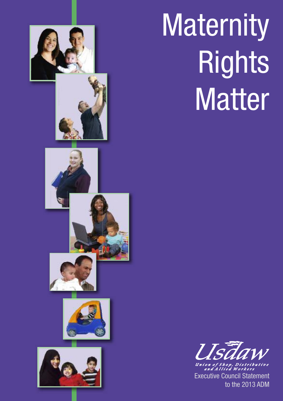

## **Maternity** Rights Matter

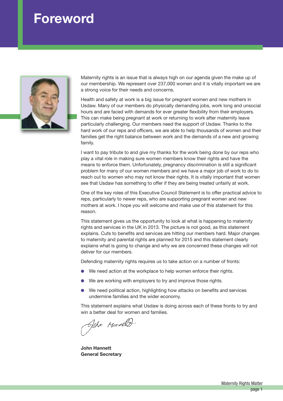## **Foreword**



Maternity rights is an issue that is always high on our agenda given the make up of our membership. We represent over 237,000 women and it is vitally important we are a strong voice for their needs and concerns.

Health and safety at work is a big issue for pregnant women and new mothers in Usdaw. Many of our members do physically demanding jobs, work long and unsocial hours and are faced with demands for ever greater flexibility from their employers. This can make being pregnant at work or returning to work after maternity leave particularly challenging. Our members need the support of Usdaw. Thanks to the hard work of our reps and officers, we are able to help thousands of women and their families get the right balance between work and the demands of a new and growing family.

I want to pay tribute to and give my thanks for the work being done by our reps who play a vital role in making sure women members know their rights and have the means to enforce them. Unfortunately, pregnancy discrimination is still a significant problem for many of our women members and we have a major job of work to do to reach out to women who may not know their rights. It is vitally important that women see that Usdaw has something to offer if they are being treated unfairly at work.

One of the key roles of this Executive Council Statement is to offer practical advice to reps, particularly to newer reps, who are supporting pregnant women and new mothers at work. I hope you will welcome and make use of this statement for this reason.

This statement gives us the opportunity to look at what is happening to maternity rights and services in the UK in 2013. The picture is not good, as this statement explains. Cuts to benefits and services are hitting our members hard. Major changes to maternity and parental rights are planned for 2015 and this statement clearly explains what is going to change and why we are concerned these changes will not deliver for our members.

Defending maternity rights requires us to take action on a number of fronts:

- We need action at the workplace to help women enforce their rights.
- We are working with employers to try and improve those rights.
- **●** We need political action, highlighting how attacks on benefits and services undermine families and the wider economy.

This statement explains what Usdaw is doing across each of these fronts to try and win a better deal for women and families.

John Monall

**John Hannett General Secretary**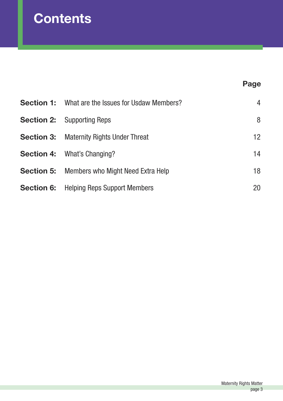## **Contents**

## **Page**

| <b>Section 1:</b> What are the Issues for Usdaw Members? | 4  |
|----------------------------------------------------------|----|
| <b>Section 2:</b> Supporting Reps                        | 8  |
| <b>Section 3: Maternity Rights Under Threat</b>          | 12 |
| <b>Section 4: What's Changing?</b>                       | 14 |
| <b>Section 5:</b> Members who Might Need Extra Help      | 18 |
| <b>Section 6:</b> Helping Reps Support Members           | 20 |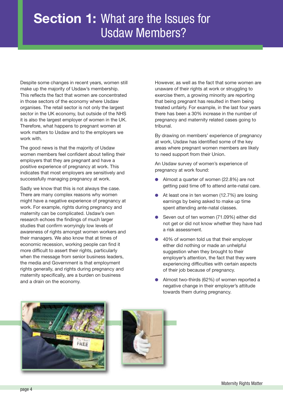## **Section 1:** What are the Issues for Usdaw Members?

Despite some changes in recent years, women still make up the majority of Usdaw's membership. This reflects the fact that women are concentrated in those sectors of the economy where Usdaw organises. The retail sector is not only the largest sector in the UK economy, but outside of the NHS it is also the largest employer of women in the UK. Therefore, what happens to pregnant women at work matters to Usdaw and to the employers we work with.

The good news is that the majority of Usdaw women members feel confident about telling their employers that they are pregnant and have a positive experience of pregnancy at work. This indicates that most employers are sensitively and successfully managing pregnancy at work.

Sadly we know that this is not always the case. There are many complex reasons why women might have a negative experience of pregnancy at work. For example, rights during pregnancy and maternity can be complicated. Usdaw's own research echoes the findings of much larger studies that confirm worryingly low levels of awareness of rights amongst women workers and their managers. We also know that at times of economic recession, working people can find it more difficult to assert their rights, particularly when the message from senior business leaders. the media and Government is that employment rights generally, and rights during pregnancy and maternity specifically, are a burden on business and a drain on the economy.

However, as well as the fact that some women are unaware of their rights at work or struggling to exercise them, a growing minority are reporting that being pregnant has resulted in them being treated unfairly. For example, in the last four years there has been a 30% increase in the number of pregnancy and maternity related cases going to tribunal.

By drawing on members' experience of pregnancy at work, Usdaw has identified some of the key areas where pregnant women members are likely to need support from their Union.

An Usdaw survey of women's experience of pregnancy at work found:

- **●** Almost a quarter of women (22.8%) are not getting paid time off to attend ante-natal care.
- At least one in ten women (12.7%) are losing earnings by being asked to make up time spent attending ante-natal classes.
- Seven out of ten women (71.09%) either did not get or did not know whether they have had a risk assessment.
- 40% of women told us that their employer either did nothing or made an unhelpful suggestion when they brought to their employer's attention, the fact that they were experiencing difficulties with certain aspects of their job because of pregnancy.
- **●** Almost two-thirds (62%) of women reported a negative change in their employer's attitude towards them during pregnancy.



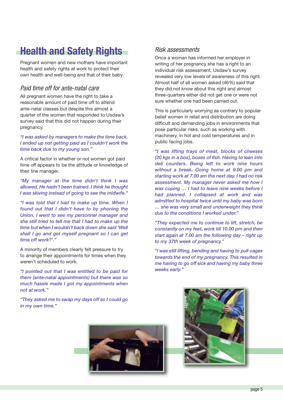## **Health and Safety Rights**

Pregnant women and new mothers have important health and safety rights at work to protect their own health and well-being and that of their baby.

### *Paid time off for ante-natal care*

All pregnant women have the right to take a reasonable amount of paid time off to attend ante-natal classes but despite this almost a quarter of the women that responded to Usdaw's survey said that this did not happen during their pregnancy.

*"I was asked by managers to make the time back. I ended up not getting paid as I couldn't work the time back due to my young son."*

A critical factor in whether or not women got paid time off appears to be the attitude or knowledge of their line manager.

*"My manager at the time didn't think I was allowed. He hadn't been trained. I think he thought I was skiving instead of going to see the midwife."*

*"I was told that I had to make up time. When I found out that I didn't have to by phoning the Union, I went to see my personnel manager and she still tried to tell me that I had to make up the time but when I wouldn't back down she said 'Well shall I go and get myself pregnant so I can get time off work?'."*

A minority of members clearly felt pressure to try to arrange their appointments for times when they weren't scheduled to work.

*"I pointed out that I was entitled to be paid for them (ante-natal appointments) but there was so much hassle made I got my appointments when not at work."*

*"They asked me to swap my days off so I could go in my own time."*

## *Risk assessments*

Once a woman has informed her employer in writing of her pregnancy she has a right to an individual risk assessment. Usdaw's survey revealed very low levels of awareness of this right. Almost half of all women asked (46%) said that they did not know about this right and almost three-quarters either did not get one or were not sure whether one had been carried out.

This is particularly worrying as contrary to popular belief women in retail and distribution are doing difficult and demanding jobs in environments that pose particular risks, such as working with machinery, in hot and cold temperatures and in public facing jobs.

*"I was lifting trays of meat, blocks of cheeses (20 kgs in a box), boxes of fish. Having to lean into deli counters. Being left to work nine hours without a break. Going home at 9.00 pm and starting work at 7.00 am the next day. I had no risk assessment. My manager never asked me how I was coping … I had to leave nine weeks before I had planned. I collapsed at work and was admitted to hospital twice until my baby was born … she was very small and underweight they think due to the conditions I worked under."*

*"They expected me to continue to lift, stretch, be constantly on my feet, work till 10.00 pm and then start again at 7.00 am the following day – right up to my 37th week of pregnancy."*

*"I was still lifting, bending and having to pull cages towards the end of my pregnancy. This resulted in me having to go off sick and having my baby three weeks early."*



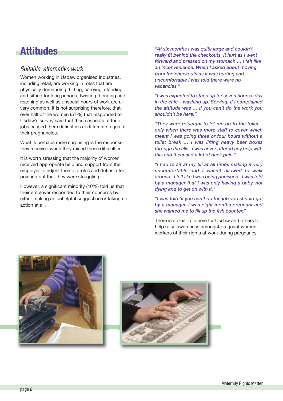## **Attitudes**

## *Suitable, alternative work*

Women working in Usdaw organised industries, including retail, are working in roles that are physically demanding. Lifting, carrying, standing and sitting for long periods, twisting, bending and reaching as well as unsocial hours of work are all very common. It is not surprising therefore, that over half of the women (57%) that responded to Usdaw's survey said that these aspects of their jobs caused them difficulties at different stages of their pregnancies.

What is perhaps more surprising is the response they received when they raised these difficulties.

It is worth stressing that the majority of women received appropriate help and support from their employer to adjust their job roles and duties after pointing out that they were struggling.

However, a significant minority (40%) told us that their employer responded to their concerns by either making an unhelpful suggestion or taking no action at all.

*"At six months I was quite large and couldn't really fit behind the checkouts. It hurt as I went forward and pressed on my stomach … I felt like an inconvenience. When I asked about moving from the checkouts as it was hurting and uncomfortable I was told there were no vacancies."*

*"I was expected to stand up for seven hours a day in the café – washing up. Serving. If I complained the attitude was … if you can't do the work you shouldn't be here."*

*"They were reluctant to let me go to the toilet – only when there was more staff to cover which meant I was going three or four hours without a toilet break … I was lifting heavy beer boxes through the tills. I was never offered any help with this and it caused a lot of back pain."*

*"I had to sit at my till at all times making it very uncomfortable and I wasn't allowed to walk around. I felt like I was being punished. I was told by a manager that I was only having a baby, not dying and to get on with it."*

*"I was told 'if you can't do the job you should go' by a manager. I was eight months pregnant and she wanted me to fill up the fish counter."*

There is a clear role here for Usdaw and others to help raise awareness amongst pregnant women workers of their rights at work during pregnancy.



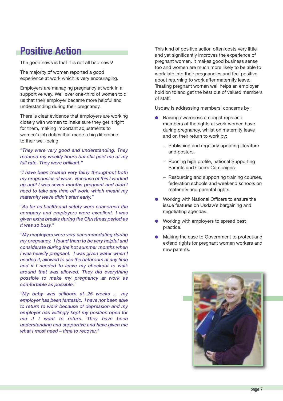## **Positive Action**

The good news is that it is not all bad news!

The majority of women reported a good experience at work which is very encouraging.

Employers are managing pregnancy at work in a supportive way. Well over one-third of women told us that their employer became more helpful and understanding during their pregnancy.

There is clear evidence that employers are working closely with women to make sure they get it right for them, making important adjustments to women's job duties that made a big difference to their well-being.

*"They were very good and understanding. They reduced my weekly hours but still paid me at my full rate. They were brilliant."*

*"I have been treated very fairly throughout both my pregnancies at work. Because of this I worked up until I was seven months pregnant and didn't need to take any time off work, which meant my maternity leave didn't start early."*

*"As far as health and safety were concerned the company and employers were excellent. I was given extra breaks during the Christmas period as it was so busy."*

*"My employers were very accommodating during my pregnancy. I found them to be very helpful and considerate during the hot summer months when I was heavily pregnant. I was given water when I needed it, allowed to use the bathroom at any time and if I needed to leave my checkout to walk around that was allowed. They did everything possible to make my pregnancy at work as comfortable as possible."*

*"My baby was stillborn at 25 weeks … my employer has been fantastic. I have not been able to return to work because of depression and my employer has willingly kept my position open for me if I want to return. They have been understanding and supportive and have given me what I most need – time to recover."*

This kind of positive action often costs very little and yet significantly improves the experience of pregnant women. It makes good business sense too and women are much more likely to be able to work late into their pregnancies and feel positive about returning to work after maternity leave. Treating pregnant women well helps an employer hold on to and get the best out of valued members of staff.

Usdaw is addressing members' concerns by:

- **●** Raising awareness amongst reps and members of the rights at work women have during pregnancy, whilst on maternity leave and on their return to work by:
	- − Publishing and regularly updating literature and posters.
	- − Running high profile, national Supporting Parents and Carers Campaigns.
	- − Resourcing and supporting training courses, federation schools and weekend schools on maternity and parental rights.
- **●** Working with National Officers to ensure the issue features on Usdaw's bargaining and negotiating agendas.
- **●** Working with employers to spread best practice.
- Making the case to Government to protect and extend rights for pregnant women workers and new parents.

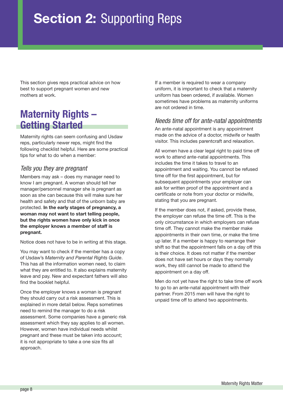## **Section 2:** Supporting Reps

This section gives reps practical advice on how best to support pregnant women and new mothers at work.

## **Maternity Rights – Getting Started**

Maternity rights can seem confusing and Usdaw reps, particularly newer reps, might find the following checklist helpful. Here are some practical tips for what to do when a member:

## *Tells you they are pregnant*

Members may ask – does my manager need to know I am pregnant. A woman should tell her manager/personnel manager she is pregnant as soon as she can because this will make sure her health and safety and that of the unborn baby are protected. **In the early stages of pregnancy, a woman may not want to start telling people, but the rights women have only kick in once the employer knows a member of staff is pregnant.**

Notice does not have to be in writing at this stage.

You may want to check if the member has a copy of Usdaw's *Maternity and Parental Rights Guide*. This has all the information women need, to claim what they are entitled to. It also explains maternity leave and pay. New and expectant fathers will also find the booklet helpful.

Once the employer knows a woman is pregnant they should carry out a risk assessment. This is explained in more detail below. Reps sometimes need to remind the manager to do a risk assessment. Some companies have a generic risk assessment which they say applies to all women. However, women have individual needs whilst pregnant and these must be taken into account; it is not appropriate to take a one size fits all approach.

If a member is required to wear a company uniform, it is important to check that a maternity uniform has been ordered, if available. Women sometimes have problems as maternity uniforms are not ordered in time.

## *Needs time off for ante-natal appointments*

An ante-natal appointment is any appointment made on the advice of a doctor, midwife or health visitor. This includes parentcraft and relaxation.

All women have a clear legal right to paid time off work to attend ante-natal appointments. This includes the time it takes to travel to an appointment and waiting. You cannot be refused time off for the first appointment, but for subsequent appointments your employer can ask for written proof of the appointment and a certificate or note from your doctor or midwife, stating that you are pregnant.

If the member does not, if asked, provide these, the employer can refuse the time off. This is the only circumstance in which employers can refuse time off. They cannot make the member make appointments in their own time, or make the time up later. If a member is happy to rearrange their shift so that the appointment falls on a day off this is their choice. It does not matter if the member does not have set hours or days they normally work, they still cannot be made to attend the appointment on a day off.

Men do not yet have the right to take time off work to go to an ante-natal appointment with their partner. From 2015 men will have the right to unpaid time off to attend two appointments.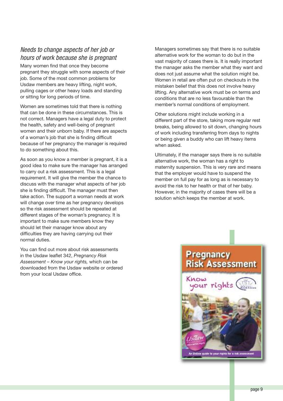## *Needs to change aspects of her job or hours of work because she is pregnant*

Many women find that once they become pregnant they struggle with some aspects of their job. Some of the most common problems for Usdaw members are heavy lifting, night work, pulling cages or other heavy loads and standing or sitting for long periods of time.

Women are sometimes told that there is nothing that can be done in these circumstances. This is not correct. Managers have a legal duty to protect the health, safety and well-being of pregnant women and their unborn baby. If there are aspects of a woman's job that she is finding difficult because of her pregnancy the manager is required to do something about this.

As soon as you know a member is pregnant, it is a good idea to make sure the manager has arranged to carry out a risk assessment. This is a legal requirement. It will give the member the chance to discuss with the manager what aspects of her job she is finding difficult. The manager must then take action. The support a woman needs at work will change over time as her pregnancy develops so the risk assessment should be repeated at different stages of the woman's pregnancy. It is important to make sure members know they should let their manager know about any difficulties they are having carrying out their normal duties.

You can find out more about risk assessments in the Usdaw leaflet 342, *Pregnancy Risk Assessment – Know your rights,* which can be downloaded from the Usdaw website or ordered from your local Usdaw office.

Managers sometimes say that there is no suitable alternative work for the woman to do but in the vast majority of cases there is. It is really important the manager asks the member what they want and does not just assume what the solution might be. Women in retail are often put on checkouts in the mistaken belief that this does not involve heavy lifting. Any alternative work must be on terms and conditions that are no less favourable than the member's normal conditions of employment.

Other solutions might include working in a different part of the store, taking more regular rest breaks, being allowed to sit down, changing hours of work including transferring from days to nights or being given a buddy who can lift heavy items when asked.

Ultimately, if the manager says there is no suitable alternative work, the woman has a right to maternity suspension. This is very rare and means that the employer would have to suspend the member on full pay for as long as is necessary to avoid the risk to her health or that of her baby. However, in the majority of cases there will be a solution which keeps the member at work.

## **Pregnancy Risk Assessment**

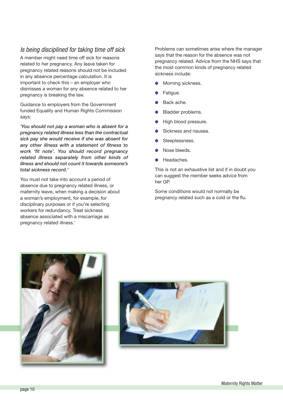## *Is being disciplined for taking time off sick*

A member might need time off sick for reasons related to her pregnancy. Any leave taken for pregnancy related reasons should not be included in any absence percentage calculation. It is important to check this – an employer who dismisses a woman for any absence related to her pregnancy is breaking the law.

Guidance to employers from the Government funded Equality and Human Rights Commission says:

*'You should not pay a woman who is absent for a pregnancy related illness less than the contractual sick pay she would receive if she was absent for any other illness with a statement of fitness to work 'fit note'. You should record pregnancy related illness separately from other kinds of illness and should not count it towards someone's total sickness record.'*

You must not take into account a period of absence due to pregnancy related illness, or maternity leave, when making a decision about a woman's employment, for example, for disciplinary purposes or if you're selecting workers for redundancy. Treat sickness absence associated with a miscarriage as pregnancy related illness.'

Problems can sometimes arise where the manager says that the reason for the absence was not pregnancy related. Advice from the NHS says that the most common kinds of pregnancy related sickness include:

- **●** Morning sickness.
- **●** Fatigue.
- Back ache.
- **●** Bladder problems.
- **●** High blood pressure.
- **●** Sickness and nausea.
- **●** Sleeplessness.
- Nose bleeds.
- **●** Headaches.

This is not an exhaustive list and if in doubt you can suggest the member seeks advice from her GP.

Some conditions would not normally be pregnancy related such as a cold or the flu.



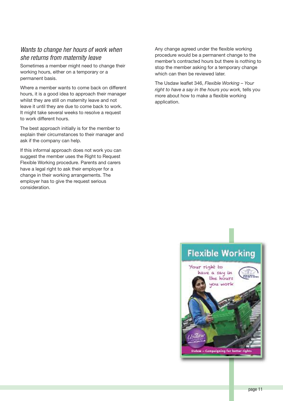### *Wants to change her hours of work when she returns from maternity leave*

Sometimes a member might need to change their working hours, either on a temporary or a permanent basis.

Where a member wants to come back on different hours, it is a good idea to approach their manager whilst they are still on maternity leave and not leave it until they are due to come back to work. It might take several weeks to resolve a request to work different hours.

The best approach initially is for the member to explain their circumstances to their manager and ask if the company can help.

If this informal approach does not work you can suggest the member uses the Right to Request Flexible Working procedure. Parents and carers have a legal right to ask their employer for a change in their working arrangements. The employer has to give the request serious consideration.

Any change agreed under the flexible working procedure would be a permanent change to the member's contracted hours but there is nothing to stop the member asking for a temporary change which can then be reviewed later.

The Usdaw leaflet 346, *Flexible Working – Your right to have a say in the hours you work,* tells you more about how to make a flexible working application.

## **Flexible Working**

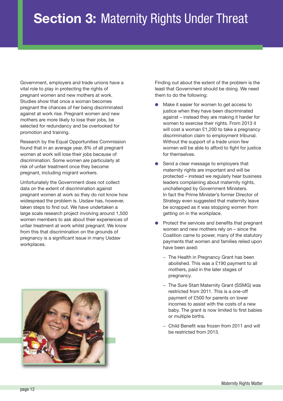Government, employers and trade unions have a vital role to play in protecting the rights of pregnant women and new mothers at work. Studies show that once a woman becomes pregnant the chances of her being discriminated against at work rise. Pregnant women and new mothers are more likely to lose their jobs, be selected for redundancy and be overlooked for promotion and training.

Research by the Equal Opportunities Commission found that in an average year, 8% of all pregnant women at work will lose their jobs because of discrimination. Some women are particularly at risk of unfair treatment once they become pregnant, including migrant workers.

Unfortunately the Government does not collect data on the extent of discrimination against pregnant women at work so they do not know how widespread the problem is. Usdaw has, however, taken steps to find out. We have undertaken a large scale research project involving around 1,500 women members to ask about their experiences of unfair treatment at work whilst pregnant. We know from this that discrimination on the grounds of pregnancy is a significant issue in many Usdaw workplaces.



Finding out about the extent of the problem is the least that Government should be doing. We need them to do the following:

- Make it easier for women to get access to justice when they have been discriminated against – instead they are making it harder for women to exercise their rights. From 2013 it will cost a woman £1,200 to take a pregnancy discrimination claim to employment tribunal. Without the support of a trade union few women will be able to afford to fight for justice for themselves.
- Send a clear message to employers that maternity rights are important and will be protected – instead we regularly hear business leaders complaining about maternity rights, unchallenged by Government Ministers. In fact the Prime Minister's former Director of Strategy even suggested that maternity leave be scrapped as it was stopping women from getting on in the workplace.
- Protect the services and benefits that pregnant women and new mothers rely on – since the Coalition came to power, many of the statutory payments that women and families relied upon have been axed:
	- − The Health in Pregnancy Grant has been abolished. This was a £190 payment to all mothers, paid in the later stages of pregnancy.
	- − The Sure Start Maternity Grant (SSMG) was restricted from 2011. This is a one-off payment of £500 for parents on lower incomes to assist with the costs of a new baby. The grant is now limited to first babies or multiple births.
	- − Child Benefit was frozen from 2011 and will be restricted from 2013.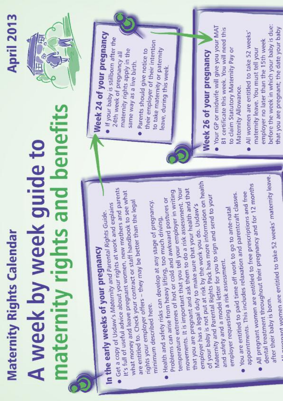## naternity rights and benefits A week by week guide to **Maternity Rights Calendar**

## $\mathbb{E}$

**April 2013** 

# In the early weeks of your pregnancy

- It's full of useful advice about your rights at work and explains · Get a copy of Usdaw's Maternity and Parental Rights Guide.
- what money and leave pregnant women, new mothers and parents are entitled to. Check your contract or staff handbook to see what rights your employer offers - they may be better than the legal

Health and safety risks can develop at any stage of pregnancy.

- Maternity and Parental Rights Pack has more information on health that you are pregnant and ask them to do a risk assessment. Your employer has a legal duty to make sure that your health and that movements. It is important that you tell your employer in writing and safety and a model letter for you to sign and send to your temperature extremes of hot or cold and awkward postures or of your baby is not put at risk by the work you do. Usdaw's Problems can arise from heavy lifting, too much driving,
	- employer requesting a risk assessment.
- appointments. This includes relaxation and parentcraft classes. you are entitled to paid time off work to go to ante-natal
- dental treatment throughout their pregnancy and for 12 months All pregnant women are entitled to free prescriptions and free
	- after their baby is born.

a conservation of the S2 weeks' maternity leave.

## Week 24 of your pregnancy

- . If your baby is stillborn after the maternity rights apply in the 24th week of pregnancy all same way as a live birth.
	- their employer of their intention to take maternity or paternity Parents should give notice to leave, during this week.

## Week 26 of your pregnancy

- . Your GP or midwife will give you your MAT B1 certificate this week. You will need this to claim Statutory Maternity Pay or Maternity Allowance.
- before the week in which your baby is due: that you are pregnant; the date your baby All women are entitled to take 52 weeks' employer no later than the 15th week maternity leave. You must tell your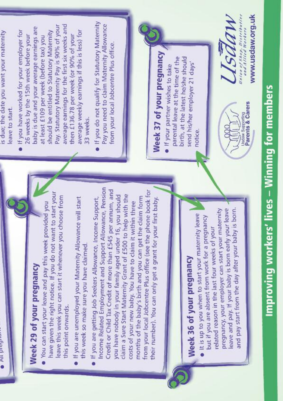| ֚ |
|---|
|   |
|   |
|   |
|   |
|   |
|   |
|   |
|   |
|   |
|   |
|   |
|   |
|   |
|   |
|   |
|   |
|   |
| ī |
|   |
|   |
|   |
|   |
|   |
|   |
|   |
|   |
|   |
|   |
|   |
|   |
|   |
|   |
|   |
|   |
|   |
|   |
|   |
|   |
|   |
|   |
|   |

**All pregnant** 

- have given the right notice. If you do not want to start your eave this week you can start it whenever you choose from You can start your leave and pay this week provided you this point onwards.
- If you are unemployed your Maternity Allowance will start this week so make sure you have claimed.
- Income Related Employment and Support Allowance, Pension Credit or Child Tax Credit of more than £545 per annum, and from your local Jobcentre Plus office (see the phone book for claim a Sure Start Maternity Grant of £500 to help with the you have nobody in your family aged under 16, you should months of the baby's birth and you can get the claim form If you are getting Job Seekers Allowance, Income Support, their number). You can only get a grant for your first baby. costs of your new baby. You have to claim it within three

## Week 36 of your pregnancy

leave and pay. If your baby is born early your leave and pay start from the day after your baby is born. pregnancy, your employer can start your maternity . It is up to you when to start your maternity leave but if you are absent from work for a pregnancy related reason in the last four weeks of your

is due; the date you want your maternity leave to start.

- average earnings for the first six weeks and Pay. Statutory Maternity Pay is 90% of your baby is due and your average earnings are average weekly earnings if this is less) for . If you have worked for your employer for should be entitled to Statutory Maternity then £136.78 per week (or 90% of your 26 weeks by the 15th week before your at least £109 per week (before tax) you 33 weeks.
- If you do not qualify for Statutory Maternity Pay you need to claim Maternity Allowance from your local Jobcentre Plus office.

Week 37 of your pregnancy

parental leave at the time of the birth, at the latest he/she should send his/her employer 21 days' · If your partner wishes to take notice

**Usdaw Supporting**<br>**Parents & Carers** 

Usdaw

Union of Shop, Distributive<br>and Alited Workers

www.usdaw.org.uk

Improving workers' lives – Winning for members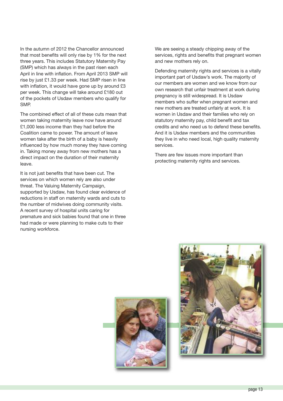In the autumn of 2012 the Chancellor announced that most benefits will only rise by 1% for the next three years. This includes Statutory Maternity Pay (SMP) which has always in the past risen each April in line with inflation. From April 2013 SMP will rise by just £1.33 per week. Had SMP risen in line with inflation, it would have gone up by around £3 per week. This change will take around £180 out of the pockets of Usdaw members who qualify for SMP.

The combined effect of all of these cuts mean that women taking maternity leave now have around £1,000 less income than they had before the Coalition came to power. The amount of leave women take after the birth of a baby is heavily influenced by how much money they have coming in. Taking money away from new mothers has a direct impact on the duration of their maternity leave.

It is not just benefits that have been cut. The services on which women rely are also under threat. The Valuing Maternity Campaign, supported by Usdaw, has found clear evidence of reductions in staff on maternity wards and cuts to the number of midwives doing community visits. A recent survey of hospital units caring for premature and sick babies found that one in three had made or were planning to make cuts to their nursing workforce.

We are seeing a steady chipping away of the services, rights and benefits that pregnant women and new mothers rely on.

Defending maternity rights and services is a vitally important part of Usdaw's work. The majority of our members are women and we know from our own research that unfair treatment at work during pregnancy is still widespread. It is Usdaw members who suffer when pregnant women and new mothers are treated unfairly at work. It is women in Usdaw and their families who rely on statutory maternity pay, child benefit and tax credits and who need us to defend these benefits. And it is Usdaw members and the communities they live in who need local, high quality maternity services.

There are few issues more important than protecting maternity rights and services.



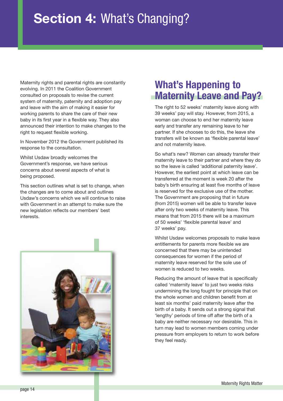## **Section 4:** What's Changing?

Maternity rights and parental rights are constantly evolving. In 2011 the Coalition Government consulted on proposals to revise the current system of maternity, paternity and adoption pay and leave with the aim of making it easier for working parents to share the care of their new baby in its first year in a flexible way. They also announced their intention to make changes to the right to request flexible working.

In November 2012 the Government published its response to the consultation.

Whilst Usdaw broadly welcomes the Government's response, we have serious concerns about several aspects of what is being proposed.

This section outlines what is set to change, when the changes are to come about and outlines Usdaw's concerns which we will continue to raise with Government in an attempt to make sure the new legislation reflects our members' best interests.



## **What's Happening to Maternity Leave and Pay?**

The right to 52 weeks' maternity leave along with 39 weeks' pay will stay. However, from 2015, a woman can choose to end her maternity leave early and transfer any remaining leave to her partner. If she chooses to do this, the leave she transfers will be known as 'flexible parental leave' and not maternity leave.

So what's new? Women can already transfer their maternity leave to their partner and where they do so the leave is called 'additional paternity leave'. However, the earliest point at which leave can be transferred at the moment is week 20 after the baby's birth ensuring at least five months of leave is reserved for the exclusive use of the mother. The Government are proposing that in future (from 2015) women will be able to transfer leave after only two weeks of maternity leave. This means that from 2015 there will be a maximum of 50 weeks' 'flexible parental leave' and 37 weeks' pay.

Whilst Usdaw welcomes proposals to make leave entitlements for parents more flexible we are concerned that there may be unintended consequences for women if the period of maternity leave reserved for the sole use of women is reduced to two weeks.

Reducing the amount of leave that is specifically called 'maternity leave' to just two weeks risks undermining the long fought for principle that on the whole women and children benefit from at least six months' paid maternity leave after the birth of a baby. It sends out a strong signal that 'lengthy' periods of time off after the birth of a baby are neither necessary nor desirable. This in turn may lead to women members coming under pressure from employers to return to work before they feel ready.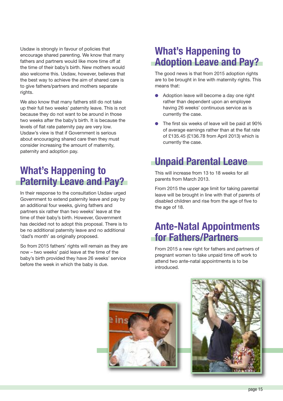Usdaw is strongly in favour of policies that encourage shared parenting. We know that many fathers and partners would like more time off at the time of their baby's birth. New mothers would also welcome this. Usdaw, however, believes that the best way to achieve the aim of shared care is to give fathers/partners and mothers separate rights.

We also know that many fathers still do not take up their full two weeks' paternity leave. This is not because they do not want to be around in those two weeks after the baby's birth. It is because the levels of flat rate paternity pay are very low. Usdaw's view is that if Government is serious about encouraging shared care then they must consider increasing the amount of maternity, paternity and adoption pay.

## **What's Happening to Paternity Leave and Pay?**

In their response to the consultation Usdaw urged Government to extend paternity leave and pay by an additional four weeks, giving fathers and partners six rather than two weeks' leave at the time of their baby's birth. However, Government has decided not to adopt this proposal. There is to be no additional paternity leave and no additional 'dad's month' as originally proposed.

So from 2015 fathers' rights will remain as they are now – two weeks' paid leave at the time of the baby's birth provided they have 26 weeks' service before the week in which the baby is due.

## **What's Happening to Adoption Leave and Pay?**

The good news is that from 2015 adoption rights are to be brought in line with maternity rights. This means that:

- **●** Adoption leave will become a day one right rather than dependent upon an employee having 26 weeks' continuous service as is currently the case.
- **●** The first six weeks of leave will be paid at 90% of average earnings rather than at the flat rate of £135.45 (£136.78 from April 2013) which is currently the case.

## **Unpaid Parental Leave**

This will increase from 13 to 18 weeks for all parents from March 2013.

From 2015 the upper age limit for taking parental leave will be brought in line with that of parents of disabled children and rise from the age of five to the age of 18.

## **Ante-Natal Appointments for Fathers/Partners**

From 2015 a new right for fathers and partners of pregnant women to take unpaid time off work to attend two ante-natal appointments is to be introduced.



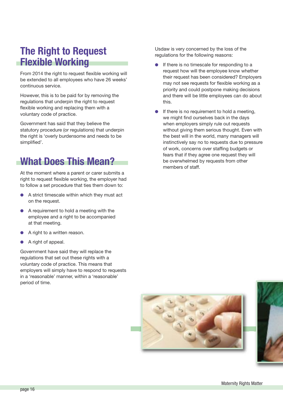## **The Right to Request Flexible Working**

From 2014 the right to request flexible working will be extended to all employees who have 26 weeks' continuous service.

However, this is to be paid for by removing the regulations that underpin the right to request flexible working and replacing them with a voluntary code of practice.

Government has said that they believe the statutory procedure (or regulations) that underpin the right is 'overly burdensome and needs to be simplified'.

## **What Does This Mean?**

At the moment where a parent or carer submits a right to request flexible working, the employer had to follow a set procedure that ties them down to:

- **●** A strict timescale within which they must act on the request.
- A requirement to hold a meeting with the employee and a right to be accompanied at that meeting.
- **●** A right to a written reason.
- **●** A right of appeal.

Government have said they will replace the regulations that set out these rights with a voluntary code of practice. This means that employers will simply have to respond to requests in a 'reasonable' manner, within a 'reasonable' period of time.

Usdaw is very concerned by the loss of the regulations for the following reasons:

- If there is no timescale for responding to a request how will the employee know whether their request has been considered? Employers may not see requests for flexible working as a priority and could postpone making decisions and there will be little employees can do about this.
- If there is no requirement to hold a meeting, we might find ourselves back in the days when employers simply rule out requests without giving them serious thought. Even with the best will in the world, many managers will instinctively say no to requests due to pressure of work, concerns over staffing budgets or fears that if they agree one request they will be overwhelmed by requests from other members of staff.



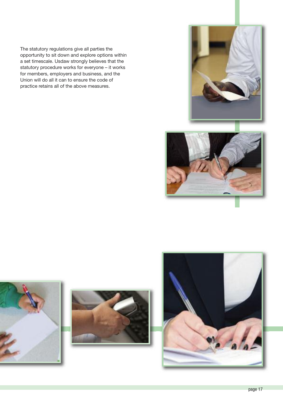The statutory regulations give all parties the opportunity to sit down and explore options within a set timescale. Usdaw strongly believes that the statutory procedure works for everyone – it works for members, employers and business, and the Union will do all it can to ensure the code of practice retains all of the above measures.









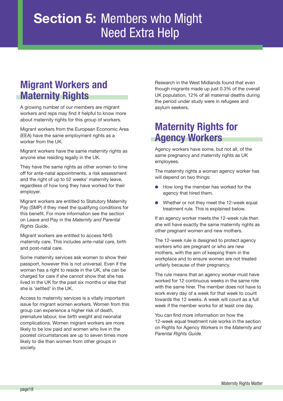## **Section 5:** Members who Might Need Extra Help

## **Migrant Workers and Maternity Rights**

A growing number of our members are migrant workers and reps may find it helpful to know more about maternity rights for this group of workers.

Migrant workers from the European Economic Area (EEA) have the same employment rights as a worker from the UK.

Migrant workers have the same maternity rights as anyone else residing legally in the UK.

They have the same rights as other women to time off for ante-natal appointments, a risk assessment and the right of up to 52 weeks' maternity leave, regardless of how long they have worked for their employer.

Migrant workers are entitled to Statutory Maternity Pay (SMP) if they meet the qualifying conditions for this benefit. For more information see the section on Leave and Pay in the *Maternity and Parental Rights Guide*.

Migrant workers are entitled to access NHS maternity care. This includes ante-natal care, birth and post-natal care.

Some maternity services ask women to show their passport, however this is not universal. Even if the woman has a right to reside in the UK, she can be charged for care if she cannot show that she has lived in the UK for the past six months or else that she is 'settled' in the UK.

Access to maternity services is a vitally important issue for migrant women workers. Women from this group can experience a higher risk of death, premature labour, low birth weight and neonatal complications. Women migrant workers are more likely to be low paid and women who live in the poorest circumstances are up to seven times more likely to die than women from other groups in society.

Research in the West Midlands found that even though migrants made up just 0.3% of the overall UK population, 12% of all maternal deaths during the period under study were in refugees and asylum seekers.

## **Maternity Rights for Agency Workers**

Agency workers have some, but not all, of the same pregnancy and maternity rights as UK employees.

The maternity rights a woman agency worker has will depend on two things:

- **●** How long the member has worked for the agency that hired them.
- Whether or not they meet the 12-week equal treatment rule. This is explained below.

If an agency worker meets the 12-week rule then she will have exactly the same maternity rights as other pregnant women and new mothers.

The 12-week rule is designed to protect agency workers who are pregnant or who are new mothers, with the aim of keeping them in the workplace and to ensure women are not treated unfairly because of their pregnancy.

The rule means that an agency worker must have worked for 12 continuous weeks in the same role with the same hirer. The member does not have to work every day of a week for that week to count towards the 12 weeks. A week will count as a full week if the member works for at least one day.

You can find more information on how the 12-week equal treatment rule works in the section on Rights for Agency Workers in the *Maternity and Parental Rights Guide*.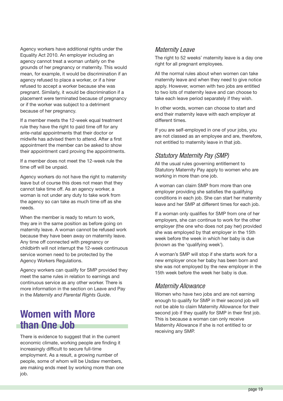Agency workers have additional rights under the Equality Act 2010. An employer including an agency cannot treat a woman unfairly on the grounds of her pregnancy or maternity. This would mean, for example, it would be discrimination if an agency refused to place a worker, or if a hirer refused to accept a worker because she was pregnant. Similarly, it would be discrimination if a placement were terminated because of pregnancy or if the worker was subject to a detriment because of her pregnancy.

If a member meets the 12-week equal treatment rule they have the right to paid time off for any ante-natal appointments that their doctor or midwife has advised them to attend. After a first appointment the member can be asked to show their appointment card proving the appointments.

If a member does not meet the 12-week rule the time off will be unpaid.

Agency workers do not have the right to maternity leave but of course this does not mean that they cannot take time off. As an agency worker, a woman is not under any duty to take work from the agency so can take as much time off as she needs.

When the member is ready to return to work, they are in the same position as before going on maternity leave. A woman cannot be refused work because they have been away on maternity leave. Any time off connected with pregnancy or childbirth will not interrupt the 12-week continuous service women need to be protected by the Agency Workers Regulations.

Agency workers can qualify for SMP provided they meet the same rules in relation to earnings and continuous service as any other worker. There is more information in the section on Leave and Pay in the *Maternity and Parental Rights Guide*.

## **Women with More than One Job**

There is evidence to suggest that in the current economic climate, working people are finding it increasingly difficult to secure full-time employment. As a result, a growing number of people, some of whom will be Usdaw members, are making ends meet by working more than one job.

## *Maternity Leave*

The right to 52 weeks' maternity leave is a day one right for all pregnant employees.

All the normal rules about when women can take maternity leave and when they need to give notice apply. However, women with two jobs are entitled to two lots of maternity leave and can choose to take each leave period separately if they wish.

In other words, women can choose to start and end their maternity leave with each employer at different times.

If you are self-employed in one of your jobs, you are not classed as an employee and are, therefore, not entitled to maternity leave in that job.

## *Statutory Maternity Pay (SMP)*

All the usual rules governing entitlement to Statutory Maternity Pay apply to women who are working in more than one job.

A woman can claim SMP from more than one employer providing she satisfies the qualifying conditions in each job. She can start her maternity leave and her SMP at different times for each job.

If a woman only qualifies for SMP from one of her employers, she can continue to work for the other employer (the one who does not pay her) provided she was employed by that employer in the 15th week before the week in which her baby is due (known as the 'qualifying week').

A woman's SMP will stop if she starts work for a new employer once her baby has been born and she was not employed by the new employer in the 15th week before the week her baby is due.

## *Maternity Allowance*

Women who have two jobs and are not earning enough to qualify for SMP in their second job will not be able to claim Maternity Allowance for their second job if they qualify for SMP in their first job. This is because a woman can only receive Maternity Allowance if she is not entitled to or receiving any SMP.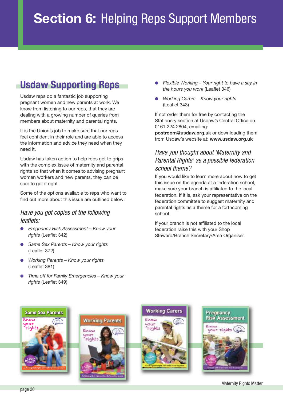## **Usdaw Supporting Reps**

Usdaw reps do a fantastic job supporting pregnant women and new parents at work. We know from listening to our reps, that they are dealing with a growing number of queries from members about maternity and parental rights.

It is the Union's job to make sure that our reps feel confident in their role and are able to access the information and advice they need when they need it.

Usdaw has taken action to help reps get to grips with the complex issue of maternity and parental rights so that when it comes to advising pregnant women workers and new parents, they can be sure to get it right.

Some of the options available to reps who want to find out more about this issue are outlined below:

### *Have you got copies of the following leaflets:*

- **●** *Pregnancy Risk Assessment – Know your rights* (Leaflet 342)
- **●** *Same Sex Parents – Know your rights* (Leaflet 372)
- **●** *Working Parents – Know your rights* (Leaflet 381)
- **●** *Time off for Family Emergencies – Know your rights* (Leaflet 349)
- **●** *Flexible Working – Your right to have a say in the hours you work* (Leaflet 346)
- **●** *Working Carers – Know your rights* (Leaflet 343)

If not order them for free by contacting the Stationery section at Usdaw's Central Office on 0161 224 2804, emailing:

**postroom@usdaw.org.uk** or downloading them from Usdaw's website at: **www.usdaw.org.uk**

## *Have you thought about 'Maternity and Parental Rights' as a possible federation school theme?*

If you would like to learn more about how to get this issue on the agenda at a federation school, make sure your branch is affiliated to the local federation. If it is, ask your representative on the federation committee to suggest maternity and parental rights as a theme for a forthcoming school.

If your branch is not affiliated to the local federation raise this with your Shop Steward/Branch Secretary/Area Organiser.









Maternity Rights Matter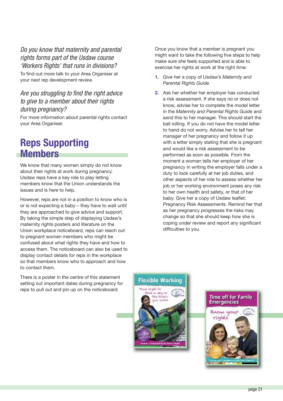## *Do you know that maternity and parental rights forms part of the Usdaw course 'Workers Rights' that runs in divisions?*

To find out more talk to your Area Organiser at your next rep development review.

## *Are you struggling to find the right advice to give to a member about their rights during pregnancy?*

For more information about parental rights contact your Area Organiser.

## **Reps Supporting Members**

We know that many women simply do not know about their rights at work during pregnancy. Usdaw reps have a key role to play letting members know that the Union understands the issues and is here to help.

However, reps are not in a position to know who is or is not expecting a baby – they have to wait until they are approached to give advice and support. By taking the simple step of displaying Usdaw's maternity rights posters and literature on the Union workplace noticeboard, reps can reach out to pregnant women members who might be confused about what rights they have and how to access them. The noticeboard can also be used to display contact details for reps in the workplace so that members know who to approach and how to contact them.

There is a poster in the centre of this statement setting out important dates during pregnancy for reps to pull out and pin up on the noticeboard.

Once you know that a member is pregnant you might want to take the following five steps to help make sure she feels supported and is able to exercise her rights at work at the right time:

- **1.** Give her a copy of Usdaw's *Maternity and Parental Rights Guide*.
- **2.** Ask her whether her employer has conducted a risk assessment. If she says no or does not know, advise her to complete the model letter in the *Maternity and Parental Rights Guide* and send this to her manager. This should start the ball rolling. If you do not have the model letter to hand do not worry. Advise her to tell her manager of her pregnancy and follow it up with a letter simply stating that she is pregnant and would like a risk assessment to be performed as soon as possible. From the moment a woman tells her employer of her pregnancy in writing the employer falls under a duty to look carefully at her job duties, and other aspects of her role to assess whether her job or her working environment poses any risk to her own health and safety, or that of her baby. Give her a copy of Usdaw leaflet: Pregnancy Risk Assessments. Remind her that as her pregnancy progresses the risks may change so that she should keep how she is coping under review and report any significant difficulties to you.



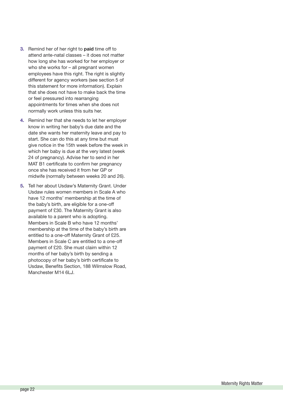- **3.** Remind her of her right to **paid** time off to attend ante-natal classes – it does not matter how long she has worked for her employer or who she works for – all pregnant women employees have this right. The right is slightly different for agency workers (see section 5 of this statement for more information). Explain that she does not have to make back the time or feel pressured into rearranging appointments for times when she does not normally work unless this suits her.
- **4.** Remind her that she needs to let her employer know in writing her baby's due date and the date she wants her maternity leave and pay to start. She can do this at any time but must give notice in the 15th week before the week in which her baby is due at the very latest (week 24 of pregnancy). Advise her to send in her MAT B1 certificate to confirm her pregnancy once she has received it from her GP or midwife (normally between weeks 20 and 26).
- **5.** Tell her about Usdaw's Maternity Grant. Under Usdaw rules women members in Scale A who have 12 months' membership at the time of the baby's birth, are eligible for a one-off payment of £30. The Maternity Grant is also available to a parent who is adopting. Members in Scale B who have 12 months' membership at the time of the baby's birth are entitled to a one-off Maternity Grant of £25. Members in Scale C are entitled to a one-off payment of £20. She must claim within 12 months of her baby's birth by sending a photocopy of her baby's birth certificate to Usdaw, Benefits Section, 188 Wilmslow Road, Manchester M14 6LJ.